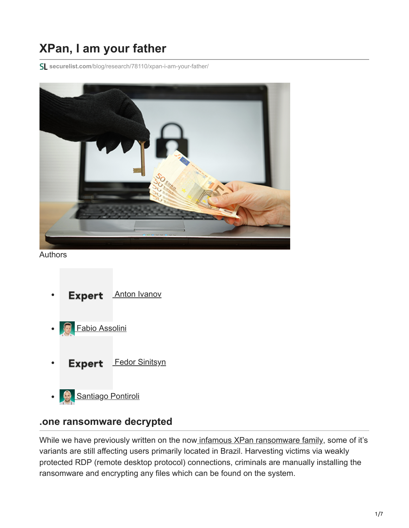## **XPan, I am your father**

**securelist.com**[/blog/research/78110/xpan-i-am-your-father/](https://securelist.com/blog/research/78110/xpan-i-am-your-father/)



Authors

- [Anton Ivanov](https://securelist.com/author/anton/) **Expert**
- [Fabio Assolini](https://securelist.com/author/fabioa/)
- **Expert** [Fedor Sinitsyn](https://securelist.com/author/fedors/)
- [Santiago Pontiroli](https://securelist.com/author/santiago/)  $\bullet$

## **.one ransomware decrypted**

While we have previously written on the now [infamous XPan ransomware family,](https://securelist.com/teamxrat-brazilian-cybercrime-meets-ransomware/76153/) some of it's variants are still affecting users primarily located in Brazil. Harvesting victims via weakly protected RDP (remote desktop protocol) connections, criminals are manually installing the ransomware and encrypting any files which can be found on the system.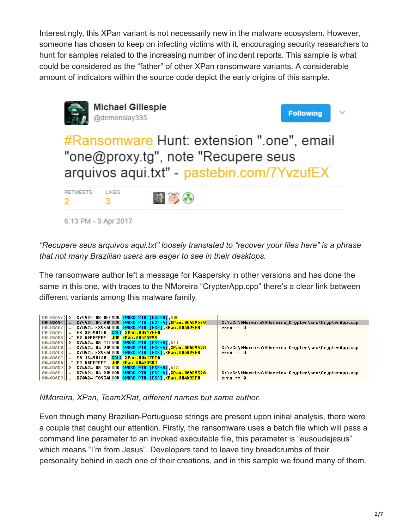Interestingly, this XPan variant is not necessarily new in the malware ecosystem. However, someone has chosen to keep on infecting victims with it, encouraging security researchers to hunt for samples related to the increasing number of incident reports. This sample is what could be considered as the "father" of other XPan ransomware variants. A considerable amount of indicators within the source code depict the early origins of this sample.



*"Recupere seus arquivos aqui.txt" loosely translated to "recover your files here" is a phrase that not many Brazilian users are eager to see in their desktops.*

The ransomware author left a message for Kaspersky in other versions and has done the same in this one, with traces to the NMoreira "CrypterApp.cpp" there's a clear link between different variants among this malware family.



*NMoreira, XPan, TeamXRat, different names but same author.*

Even though many Brazilian-Portuguese strings are present upon initial analysis, there were a couple that caught our attention. Firstly, the ransomware uses a batch file which will pass a command line parameter to an invoked executable file, this parameter is "eusoudejesus" which means "I'm from Jesus". Developers tend to leave tiny breadcrumbs of their personality behind in each one of their creations, and in this sample we found many of them.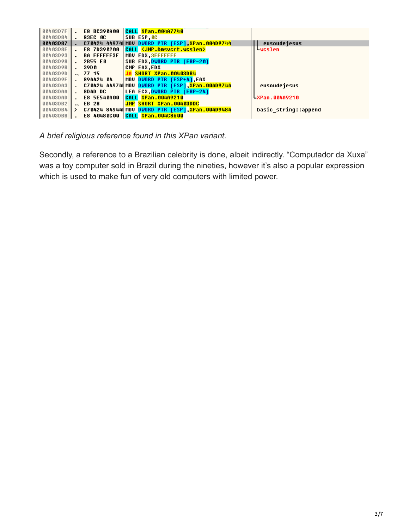| $00403D7F$ | <b>E8 BC390A00</b> | <b>CALL XPan.004A7740</b>                       |                      |
|------------|--------------------|-------------------------------------------------|----------------------|
| 00403084   | <b>83EC OC</b>     | SUB ESP OC                                      |                      |
| 00403087   |                    | C70424 449741 MOU DWORD PTR [ESP] XPan.004D9744 | eusoude jesus        |
| 00403D8E   | E8 7D390200        | CALL <jmp.&msvcrt.wcslen></jmp.&msvcrt.wcslen>  | Lwcslen              |
| 00403093   | <b>BA FFFFFF3F</b> | MOU EDX.3FFFFFFF                                |                      |
| 00403098   | 2B55 E0            | SUB EDX.DWORD PTR [EBP-20]                      |                      |
| 00403D9B   | 39DO               | CMP EAX.EDX                                     |                      |
| 00403090   | 77 15              | SHORT XPan.00403DB4                             |                      |
| 00403D9F   | 894424 04          | MOU DWORD PTR TESP+41 EAX                       |                      |
| 00403DA3   |                    | C70424 449741 MOV DWORD PTR [ESP].XPan.004D9744 | eusoudejesus         |
| 00403DAA   | 804D DC            | LEA ECX.DWORD PTR [EBP-24]                      |                      |
| 00403DAD   | <b>E8 5E540A00</b> | <b>CALL XPan.004A9210</b>                       | - XPan.004A9210      |
| 00403DB2   | $\sim$ EB 28       | JMP SHORT XPan.00403DDC                         |                      |
| 00403DB4   | $\rightarrow$      | C70424 849441 MOV DWORD PTR [ESP].XPan.004D9484 | basic string::append |
| 00403DBB   | E8 40480C00        | CALL XPan.004C8600                              |                      |

*A brief religious reference found in this XPan variant.*

Secondly, a reference to a Brazilian celebrity is done, albeit indirectly. "Computador da Xuxa" was a toy computer sold in Brazil during the nineties, however it's also a popular expression which is used to make fun of very old computers with limited power.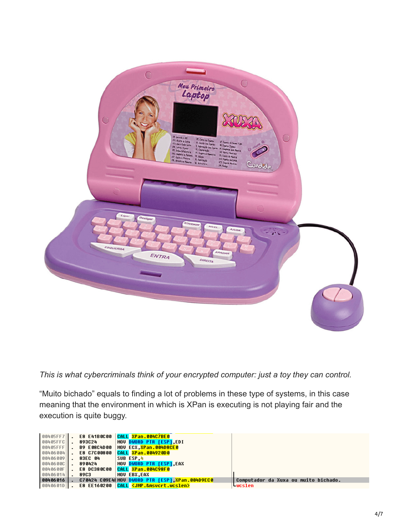

*This is what cybercriminals think of your encrypted computer: just a toy they can control.*

"Muito bichado" equals to finding a lot of problems in these type of systems, in this case meaning that the environment in which is XPan is executing is not playing fair and the execution is quite buggy.

| $00405FF7$     |                    | E8 E41B0C00 CALL XPan.004C7BE0                                          |                                      |
|----------------|--------------------|-------------------------------------------------------------------------|--------------------------------------|
| $00405$        | 893024             | MOU DWORD PTR FESP1.EDI                                                 |                                      |
| $00405$        | <b>B9 E08C4D00</b> | MOV ECX. <mark>XPan.004D8CE0</mark>                                     |                                      |
| 00406004       | <b>E8 C7C00800</b> | CALL <mark>XPan.004920D0</mark>                                         |                                      |
| 00406009       | 83EC 04            | SUB ESP 4                                                               |                                      |
| 0040600        | 890424             | MOV DWORD PTR [ESP].EAX                                                 |                                      |
| 0040600F       | <b>E8 DC380C00</b> | CALL <mark>XPan.004C98F0</mark>                                         |                                      |
| 00406014       | 8903               | MOU EBX.EAX                                                             |                                      |
| $ 00406016 $ . |                    | C70424 C09E41MOU DWORD PTR [ESP] <mark>.XPan.004D9EC0</mark>            | Computador da Xuxa ou muito bichado. |
| 0040601D       |                    | E8 EE160200 CALL <mark><jmp.&msvcrt.wcslen></jmp.&msvcrt.wcslen></mark> | <b>WCslen</b>                        |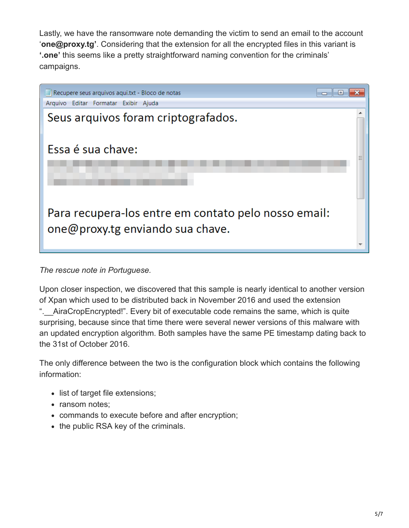Lastly, we have the ransomware note demanding the victim to send an email to the account '**one@proxy.tg'**. Considering that the extension for all the encrypted files in this variant is **'.one'** this seems like a pretty straightforward naming convention for the criminals' campaigns.



*The rescue note in Portuguese.*

Upon closer inspection, we discovered that this sample is nearly identical to another version of Xpan which used to be distributed back in November 2016 and used the extension ".\_\_AiraCropEncrypted!". Every bit of executable code remains the same, which is quite surprising, because since that time there were several newer versions of this malware with an updated encryption algorithm. Both samples have the same PE timestamp dating back to the 31st of October 2016.

The only difference between the two is the configuration block which contains the following information:

- list of target file extensions;
- ransom notes:
- commands to execute before and after encryption;
- the public RSA key of the criminals.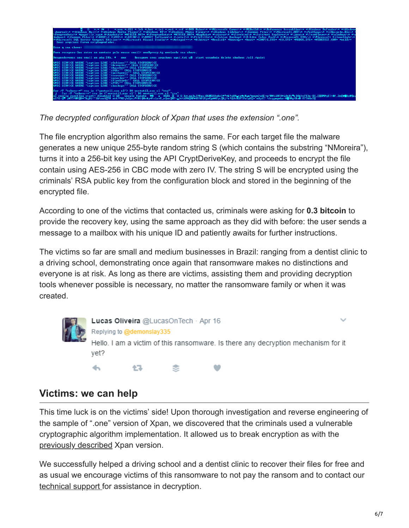

*The decrypted configuration block of Xpan that uses the extension ".one".*

The file encryption algorithm also remains the same. For each target file the malware generates a new unique 255-byte random string S (which contains the substring "NMoreira"), turns it into a 256-bit key using the API CryptDeriveKey, and proceeds to encrypt the file contain using AES-256 in CBC mode with zero IV. The string S will be encrypted using the criminals' RSA public key from the configuration block and stored in the beginning of the encrypted file.

According to one of the victims that contacted us, criminals were asking for **0.3 bitcoin** to provide the recovery key, using the same approach as they did with before: the user sends a message to a mailbox with his unique ID and patiently awaits for further instructions.

The victims so far are small and medium businesses in Brazil: ranging from a dentist clinic to a driving school, demonstrating once again that ransomware makes no distinctions and everyone is at risk. As long as there are victims, assisting them and providing decryption tools whenever possible is necessary, no matter the ransomware family or when it was created.



Lucas Oliveira @LucasOnTech · Apr 16 Replying to @demonslay335 Hello. I am a victim of this ransomware. Is there any decryption mechanism for it vet? £3. ↩

## **Victims: we can help**

This time luck is on the victims' side! Upon thorough investigation and reverse engineering of the sample of ".one" version of Xpan, we discovered that the criminals used a vulnerable cryptographic algorithm implementation. It allowed us to break encryption as with the [previously described](https://securelist.com/teamxrat-brazilian-cybercrime-meets-ransomware/76153/) Xpan version.

We successfully helped a driving school and a dentist clinic to recover their files for free and as usual we encourage victims of this ransomware to not pay the ransom and to contact our [technical support](http://support.kaspersky.com/) for assistance in decryption.